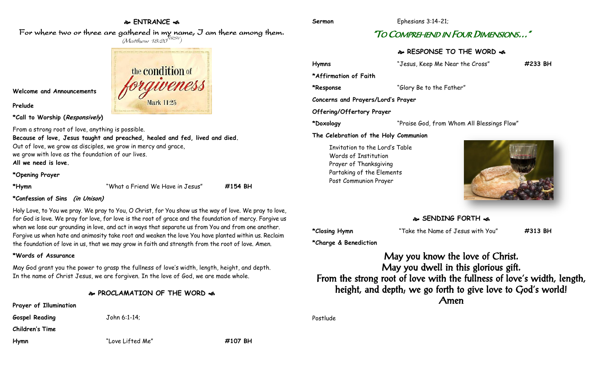## **ENTRANCE**

For where two or three are gathered in my name, I am there among them.  $(M$ atthew 18:20 $^{NRSV})$ 

> the condition of Mark 11:25

**Welcome and Announcements**

**Prelude**

**\*Call to Worship (Responsively)** 

From a strong root of love, anything is possible. **Because of love, Jesus taught and preached, healed and fed, lived and died.** Out of love, we grow as disciples, we grow in mercy and grace, we grow with love as the foundation of our lives. **All we need is love.**

#### **\*Opening Prayer**

| *Hymr |
|-------|
|-------|

**\*Hymn** "What a Friend We Have in Jesus" **#154 BH**

## **\*Confession of Sins (in Unison)**

Holy Love, to You we pray. We pray to You, O Christ, for You show us the way of love. We pray to love, for God is love. We pray for love, for love is the root of grace and the foundation of mercy. Forgive us when we lose our grounding in love, and act in ways that separate us from You and from one another. Forgive us when hate and animosity take root and weaken the love You have planted within us. Reclaim the foundation of love in us, that we may grow in faith and strength from the root of love. Amen.

## **\*Words of Assurance**

May God grant you the power to grasp the fullness of love's width, length, height, and depth. In the name of Christ Jesus, we are forgiven. In the love of God, we are made whole.

# **PROCLAMATION OF THE WORD**

**Prayer of Illumination**

**Gospel Reading** John 6:1-14;

**Children's Time**

**Hymn** "Love Lifted Me" **#107 BH**

**Sermon** Ephesians 3:14-21;

# "TO COMPREHEND IN FOUR DIMENSIONS…"

# **RESPONSE TO THE WORD**

**Hymns** "Jesus, Keep Me Near the Cross" **#233 BH \*Affirmation of Faith \*Response** "Glory Be to the Father" **Concerns and Prayers/Lord's Prayer Offering/Offertory Prayer \*Doxology** "Praise God, from Whom All Blessings Flow" **The Celebration of the Holy Communion** Invitation to the Lord's Table Words of Institution Prayer of Thanksgiving

**SENDING FORTH** 

**\*Closing Hymn** "Take the Name of Jesus with You" **#313 BH**

**\*Charge & Benediction**

Partaking of the Elements Post Communion Prayer

May you know the love of Christ. May you dwell in this glorious gift. From the strong root of love with the fullness of love's width, length, height, and depth; we go forth to give love to God's world! Amen

Postlude